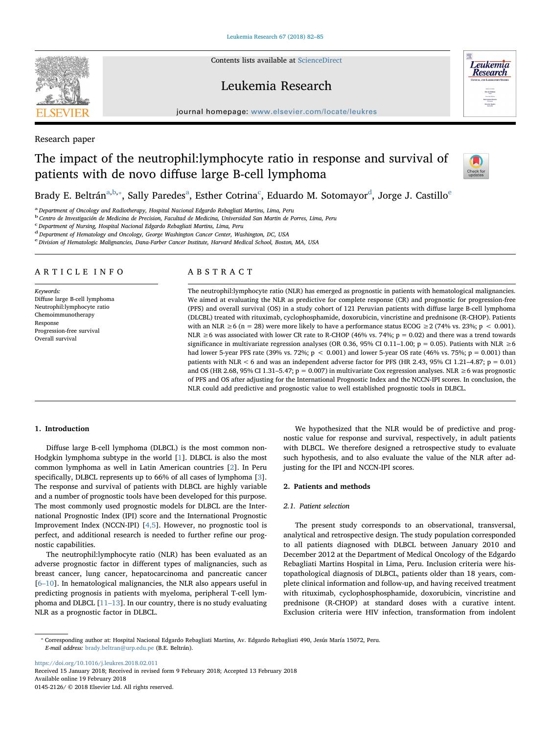Contents lists available at [ScienceDirect](http://www.sciencedirect.com/science/journal/01452126)

# Leukemia Research



Research paper

# The impact of the neutrophil:lymphocyte ratio in response and survival of patients with de novo diffuse large B-cell lymphoma



**Leukemia Research** 

Br[a](#page-0-0)dy E. Beltrán<sup>a[,b,](#page-0-1)</sup>\*, Sally Paredes<sup>a</sup>, Esther Cotrina<sup>[c](#page-0-3)</sup>, E[d](#page-0-4)uardo M. Sotomayor<sup>d</sup>, Jorg[e](#page-0-5) J. Castillo<sup>e</sup>

<span id="page-0-0"></span>a Department of Oncology and Radiotherapy, Hospital Nacional Edgardo Rebagliati Martins, Lima, Peru

<span id="page-0-1"></span><sup>b</sup> Centro de Investigación de Medicina de Precision, Facultad de Medicina, Universidad San Martin de Porres, Lima, Peru

<span id="page-0-3"></span><sup>c</sup> Department of Nursing, Hospital Nacional Edgardo Rebagliati Martins, Lima, Peru

<span id="page-0-4"></span><sup>d</sup> Department of Hematology and Oncology, George Washington Cancer Center, Washington, DC, USA

<span id="page-0-5"></span>e Division of Hematologic Malignancies, Dana-Farber Cancer Institute, Harvard Medical School, Boston, MA, USA

## ARTICLE INFO

Keywords: Diffuse large B-cell lymphoma Neutrophil:lymphocyte ratio Chemoimmunotherapy Response Progression-free survival Overall survival

## ABSTRACT

The neutrophil:lymphocyte ratio (NLR) has emerged as prognostic in patients with hematological malignancies. We aimed at evaluating the NLR as predictive for complete response (CR) and prognostic for progression-free (PFS) and overall survival (OS) in a study cohort of 121 Peruvian patients with diffuse large B-cell lymphoma (DLCBL) treated with rituximab, cyclophosphamide, doxorubicin, vincristine and prednisone (R-CHOP). Patients with an NLR  $\geq 6$  (n = 28) were more likely to have a performance status ECOG  $\geq 2$  (74% vs. 23%; p < 0.001). NLR  $\geq$  6 was associated with lower CR rate to R-CHOP (46% vs. 74%; p = 0.02) and there was a trend towards significance in multivariate regression analyses (OR 0.36, 95% CI 0.11–1.00; p = 0.05). Patients with NLR ≥6 had lower 5-year PFS rate (39% vs. 72%;  $p < 0.001$ ) and lower 5-year OS rate (46% vs. 75%;  $p = 0.001$ ) than patients with NLR < 6 and was an independent adverse factor for PFS (HR 2.43, 95% CI 1.21–4.87;  $p = 0.01$ ) and OS (HR 2.68, 95% CI 1.31–5.47;  $p = 0.007$ ) in multivariate Cox regression analyses. NLR  $\geq$  6 was prognostic of PFS and OS after adjusting for the International Prognostic Index and the NCCN-IPI scores. In conclusion, the NLR could add predictive and prognostic value to well established prognostic tools in DLBCL.

## 1. Introduction

Diffuse large B-cell lymphoma (DLBCL) is the most common non-Hodgkin lymphoma subtype in the world [\[1\]](#page-3-0). DLBCL is also the most common lymphoma as well in Latin American countries [[2](#page-3-1)]. In Peru specifically, DLBCL represents up to 66% of all cases of lymphoma [[3](#page-3-2)]. The response and survival of patients with DLBCL are highly variable and a number of prognostic tools have been developed for this purpose. The most commonly used prognostic models for DLBCL are the International Prognostic Index (IPI) score and the International Prognostic Improvement Index (NCCN-IPI) [\[4,5](#page-3-3)]. However, no prognostic tool is perfect, and additional research is needed to further refine our prognostic capabilities.

The neutrophil:lymphocyte ratio (NLR) has been evaluated as an adverse prognostic factor in different types of malignancies, such as breast cancer, lung cancer, hepatocarcinoma and pancreatic cancer [6–[10](#page-3-4)]. In hematological malignancies, the NLR also appears useful in predicting prognosis in patients with myeloma, peripheral T-cell lymphoma and DLBCL [11–[13\]](#page-3-5). In our country, there is no study evaluating NLR as a prognostic factor in DLBCL.

We hypothesized that the NLR would be of predictive and prognostic value for response and survival, respectively, in adult patients with DLBCL. We therefore designed a retrospective study to evaluate such hypothesis, and to also evaluate the value of the NLR after adjusting for the IPI and NCCN-IPI scores.

## 2. Patients and methods

## 2.1. Patient selection

The present study corresponds to an observational, transversal, analytical and retrospective design. The study population corresponded to all patients diagnosed with DLBCL between January 2010 and December 2012 at the Department of Medical Oncology of the Edgardo Rebagliati Martins Hospital in Lima, Peru. Inclusion criteria were histopathological diagnosis of DLBCL, patients older than 18 years, complete clinical information and follow-up, and having received treatment with rituximab, cyclophosphosphamide, doxorubicin, vincristine and prednisone (R-CHOP) at standard doses with a curative intent. Exclusion criteria were HIV infection, transformation from indolent

<span id="page-0-2"></span>⁎ Corresponding author at: Hospital Nacional Edgardo Rebagliati Martins, Av. Edgardo Rebagliati 490, Jesús María 15072, Peru. E-mail address: [brady.beltran@urp.edu.pe](mailto:brady.beltran@urp.edu.pe) (B.E. Beltrán).

<https://doi.org/10.1016/j.leukres.2018.02.011> Received 15 January 2018; Received in revised form 9 February 2018; Accepted 13 February 2018 Available online 19 February 2018 0145-2126/ © 2018 Elsevier Ltd. All rights reserved.

**SEVIER**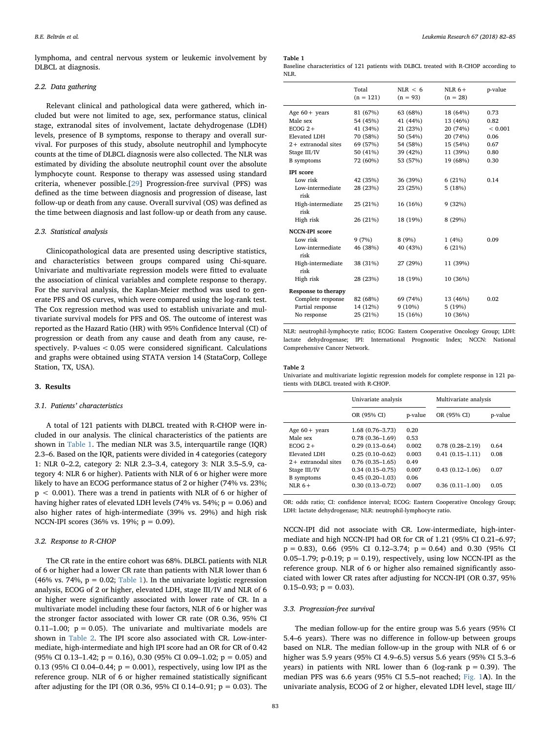lymphoma, and central nervous system or leukemic involvement by DLBCL at diagnosis.

### 2.2. Data gathering

Relevant clinical and pathological data were gathered, which included but were not limited to age, sex, performance status, clinical stage, extranodal sites of involvement, lactate dehydrogenase (LDH) levels, presence of B symptoms, response to therapy and overall survival. For purposes of this study, absolute neutrophil and lymphocyte counts at the time of DLBCL diagnosis were also collected. The NLR was estimated by dividing the absolute neutrophil count over the absolute lymphocyte count. Response to therapy was assessed using standard criteria, whenever possible.[[29\]](#page-3-6) Progression-free survival (PFS) was defined as the time between diagnosis and progression of disease, last follow-up or death from any cause. Overall survival (OS) was defined as the time between diagnosis and last follow-up or death from any cause.

#### 2.3. Statistical analysis

Clinicopathological data are presented using descriptive statistics, and characteristics between groups compared using Chi-square. Univariate and multivariate regression models were fitted to evaluate the association of clinical variables and complete response to therapy. For the survival analysis, the Kaplan-Meier method was used to generate PFS and OS curves, which were compared using the log-rank test. The Cox regression method was used to establish univariate and multivariate survival models for PFS and OS. The outcome of interest was reported as the Hazard Ratio (HR) with 95% Confidence Interval (CI) of progression or death from any cause and death from any cause, respectively. P-values < 0.05 were considered significant. Calculations and graphs were obtained using STATA version 14 (StataCorp, College Station, TX, USA).

## 3. Results

## 3.1. Patients' characteristics

A total of 121 patients with DLBCL treated with R-CHOP were included in our analysis. The clinical characteristics of the patients are shown in [Table 1.](#page-1-0) The median NLR was 3.5, interquartile range (IQR) 2.3–6. Based on the IQR, patients were divided in 4 categories (category 1: NLR 0–2.2, category 2: NLR 2.3–3.4, category 3: NLR 3.5–5.9, category 4: NLR 6 or higher). Patients with NLR of 6 or higher were more likely to have an ECOG performance status of 2 or higher (74% vs. 23%; p < 0.001). There was a trend in patients with NLR of 6 or higher of having higher rates of elevated LDH levels (74% vs. 54%;  $p = 0.06$ ) and also higher rates of high-intermediate (39% vs. 29%) and high risk NCCN-IPI scores (36% vs. 19%;  $p = 0.09$ ).

#### 3.2. Response to R-CHOP

The CR rate in the entire cohort was 68%. DLBCL patients with NLR of 6 or higher had a lower CR rate than patients with NLR lower than 6 (46% vs. 74%,  $p = 0.02$ ; [Table 1\)](#page-1-0). In the univariate logistic regression analysis, ECOG of 2 or higher, elevated LDH, stage III/IV and NLR of 6 or higher were significantly associated with lower rate of CR. In a multivariate model including these four factors, NLR of 6 or higher was the stronger factor associated with lower CR rate (OR 0.36, 95% CI 0.11–1.00;  $p = 0.05$ ). The univariate and multivariate models are shown in [Table 2.](#page-1-1) The IPI score also associated with CR. Low-intermediate, high-intermediate and high IPI score had an OR for CR of 0.42 (95% CI 0.13–1.42;  $p = 0.16$ ), 0.30 (95% CI 0.09–1.02;  $p = 0.05$ ) and 0.13 (95% CI 0.04–0.44;  $p = 0.001$ ), respectively, using low IPI as the reference group. NLR of 6 or higher remained statistically significant after adjusting for the IPI (OR 0.36, 95% CI 0.14–0.91;  $p = 0.03$ ). The

#### <span id="page-1-0"></span>Table 1

Baseline characteristics of 121 patients with DLBCL treated with R-CHOP according to NLR.

|                            | Total<br>$(n = 121)$ | NLR < 6<br>$(n = 93)$ | NLR $6+$<br>$(n = 28)$ | p-value     |
|----------------------------|----------------------|-----------------------|------------------------|-------------|
| Age $60 +$ years           | 81 (67%)             | 63 (68%)              | 18 (64%)               | 0.73        |
| Male sex                   | 54 (45%)             | 41 (44%)              | 13 (46%)               | 0.82        |
| $ECOG$ 2+                  | 41 (34%)             | 21 (23%)              | 20 (74%)               | ${}< 0.001$ |
| <b>Elevated LDH</b>        | 70 (58%)             | 50 (54%)              | 20 (74%)               | 0.06        |
| $2+$ extranodal sites      | 69 (57%)             | 54 (58%)              | 15 (54%)               | 0.67        |
| Stage III/IV               | 50 (41%)             | 39 (42%)              | 11 (39%)               | 0.80        |
| <b>B</b> symptoms          | 72 (60%)             | 53 (57%)              | 19 (68%)               | 0.30        |
| <b>IPI</b> score           |                      |                       |                        |             |
| Low risk                   | 42 (35%)             | 36 (39%)              | 6(21%)                 | 0.14        |
| Low-intermediate<br>risk   | 28 (23%)             | 23 (25%)              | 5(18%)                 |             |
| High-intermediate<br>risk  | 25 (21%)             | 16 (16%)              | 9(32%)                 |             |
| High risk                  | 26 (21%)             | 18 (19%)              | 8(29%)                 |             |
| <b>NCCN-IPI score</b>      |                      |                       |                        |             |
| Low risk                   | 9(7%)                | 8(9%)                 | 1(4%)                  | 0.09        |
| Low-intermediate<br>risk   | 46 (38%)             | 40 (43%)              | 6(21%)                 |             |
| High-intermediate<br>risk  | 38 (31%)             | 27 (29%)              | 11 (39%)               |             |
| High risk                  | 28 (23%)             | 18 (19%)              | 10 (36%)               |             |
| <b>Response to therapy</b> |                      |                       |                        |             |
| Complete response          | 82 (68%)             | 69 (74%)              | 13 (46%)               | 0.02        |
| Partial response           | 14 (12%)             | $9(10\%)$             | 5(19%)                 |             |
| No response                | 25 (21%)             | 15 (16%)              | 10 (36%)               |             |

NLR: neutrophil-lymphocyte ratio; ECOG: Eastern Cooperative Oncology Group; LDH: lactate dehydrogenase; IPI: International Prognostic Index; NCCN: National Comprehensive Cancer Network.

#### <span id="page-1-1"></span>Table 2

Univariate and multivariate logistic regression models for complete response in 121 patients with DLBCL treated with R-CHOP.

|                       | Univariate analysis |         | Multivariate analysis |         |
|-----------------------|---------------------|---------|-----------------------|---------|
|                       | OR (95% CI)         | p-value | OR (95% CI)           | p-value |
| Age $60 +$ years      | 1.68 (0.76-3.73)    | 0.20    |                       |         |
| Male sex              | $0.78(0.36 - 1.69)$ | 0.53    |                       |         |
| $ECOG$ 2+             | $0.29(0.13 - 0.64)$ | 0.002   | $0.78(0.28 - 2.19)$   | 0.64    |
| Elevated LDH          | $0.25(0.10-0.62)$   | 0.003   | $0.41(0.15 - 1.11)$   | 0.08    |
| $2+$ extranodal sites | $0.76(0.35-1.65)$   | 0.49    |                       |         |
| Stage III/IV          | $0.34(0.15-0.75)$   | 0.007   | $0.43(0.12 - 1.06)$   | 0.07    |
| <b>B</b> symptoms     | $0.45(0.20-1.03)$   | 0.06    |                       |         |
| $NI.R.6+$             | $0.30(0.13 - 0.72)$ | 0.007   | $0.36(0.11 - 1.00)$   | 0.05    |
|                       |                     |         |                       |         |

OR: odds ratio; CI: confidence interval; ECOG: Eastern Cooperative Oncology Group; LDH: lactate dehydrogenase; NLR: neutrophil-lymphocyte ratio.

NCCN-IPI did not associate with CR. Low-intermediate, high-intermediate and high NCCN-IPI had OR for CR of 1.21 (95% CI 0.21–6.97;  $p = 0.83$ ), 0.66 (95% CI 0.12–3.74;  $p = 0.64$ ) and 0.30 (95% CI 0.05–1.79; p-0.19;  $p = 0.19$ ), respectively, using low NCCN-IPI as the reference group. NLR of 6 or higher also remained significantly associated with lower CR rates after adjusting for NCCN-IPI (OR 0.37, 95% 0.15–0.93;  $p = 0.03$ ).

#### 3.3. Progression-free survival

The median follow-up for the entire group was 5.6 years (95% CI 5.4–6 years). There was no difference in follow-up between groups based on NLR. The median follow-up in the group with NLR of 6 or higher was 5.9 years (95% CI 4.9–6.5) versus 5.6 years (95% CI 5.3–6 years) in patients with NRL lower than 6 (log-rank  $p = 0.39$ ). The median PFS was 6.6 years (95% CI 5.5–not reached; [Fig. 1](#page-2-0)A). In the univariate analysis, ECOG of 2 or higher, elevated LDH level, stage III/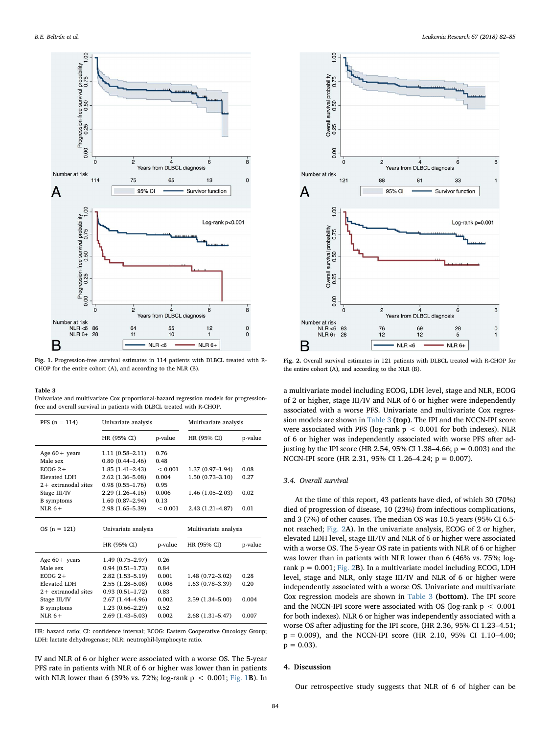<span id="page-2-0"></span>

Fig. 1. Progression-free survival estimates in 114 patients with DLBCL treated with R-CHOP for the entire cohort (A), and according to the NLR (B).

#### <span id="page-2-1"></span>Table 3

Univariate and multivariate Cox proportional-hazard regression models for progressionfree and overall survival in patients with DLBCL treated with R-CHOP.

| $PFS(n = 114)$        | Univariate analysis |             | Multivariate analysis |         |
|-----------------------|---------------------|-------------|-----------------------|---------|
|                       | HR (95% CI)         | p-value     | HR (95% CI)           | p-value |
| Age $60 +$ years      | $1.11(0.58 - 2.11)$ | 0.76        |                       |         |
| Male sex              | $0.80(0.44 - 1.46)$ | 0.48        |                       |         |
| $ECOG$ 2+             | $1.85(1.41 - 2.43)$ | < 0.001     | $1.37(0.97-1.94)$     | 0.08    |
| Elevated LDH          | $2.62(1.36 - 5.08)$ | 0.004       | $1.50(0.73 - 3.10)$   | 0.27    |
| $2+$ extranodal sites | $0.98(0.55 - 1.76)$ | 0.95        |                       |         |
| Stage III/IV          | $2.29(1.26 - 4.16)$ | 0.006       | $1.46(1.05-2.03)$     | 0.02    |
| <b>B</b> symptoms     | $1.60(0.87-2.94)$   | 0.13        |                       |         |
| $NI.R.6+$             | 2.98 (1.65-5.39)    | ${}< 0.001$ | $2.43(1.21 - 4.87)$   | 0.01    |
|                       | Univariate analysis |             | Multivariate analysis |         |
| $OS(n = 121)$         |                     |             |                       |         |
|                       | HR (95% CI)         | p-value     | HR (95% CI)           | p-value |
| Age $60 +$ years      | 1.49 (0.75-2.97)    | 0.26        |                       |         |
| Male sex              | $0.94(0.51 - 1.73)$ | 0.84        |                       |         |
| $ECOG$ 2+             | 2.82 (1.53-5.19)    | 0.001       | $1.48(0.72 - 3.02)$   | 0.28    |
| Elevated LDH          | 2.55 (1.28-5.08)    | 0.008       | $1.63(0.78 - 3.39)$   | 0.20    |
| $2+$ extranodal sites | $0.93(0.51 - 1.72)$ | 0.83        |                       |         |
| Stage III/IV          | 2.67 (1.44–4.96)    | 0.002       | 2.59 (1.34-5.00)      | 0.004   |
| <b>B</b> symptoms     | $1.23(0.66 - 2.29)$ | 0.52        |                       |         |

HR: hazard ratio; CI: confidence interval; ECOG: Eastern Cooperative Oncology Group; LDH: lactate dehydrogenase; NLR: neutrophil-lymphocyte ratio.

IV and NLR of 6 or higher were associated with a worse OS. The 5-year PFS rate in patients with NLR of 6 or higher was lower than in patients with NLR lower than 6 (39% vs. 72%; log-rank  $p < 0.001$ ; [Fig. 1](#page-2-0)B). In

<span id="page-2-2"></span>

Fig. 2. Overall survival estimates in 121 patients with DLBCL treated with R-CHOP for the entire cohort (A), and according to the NLR (B).

a multivariate model including ECOG, LDH level, stage and NLR, ECOG of 2 or higher, stage III/IV and NLR of 6 or higher were independently associated with a worse PFS. Univariate and multivariate Cox regression models are shown in [Table 3](#page-2-1) (top). The IPI and the NCCN-IPI score were associated with PFS (log-rank  $p < 0.001$  for both indexes). NLR of 6 or higher was independently associated with worse PFS after adjusting by the IPI score (HR 2.54, 95% CI 1.38–4.66;  $p = 0.003$ ) and the NCCN-IPI score (HR 2.31, 95% CI 1.26–4.24; p = 0.007).

## 3.4. Overall survival

At the time of this report, 43 patients have died, of which 30 (70%) died of progression of disease, 10 (23%) from infectious complications, and 3 (7%) of other causes. The median OS was 10.5 years (95% CI 6.5 not reached; [Fig. 2](#page-2-2)A). In the univariate analysis, ECOG of 2 or higher, elevated LDH level, stage III/IV and NLR of 6 or higher were associated with a worse OS. The 5-year OS rate in patients with NLR of 6 or higher was lower than in patients with NLR lower than 6 (46% vs. 75%; logrank  $p = 0.001$ ; [Fig. 2](#page-2-2)B). In a multivariate model including ECOG, LDH level, stage and NLR, only stage III/IV and NLR of 6 or higher were independently associated with a worse OS. Univariate and multivariate Cox regression models are shown in [Table 3](#page-2-1) (bottom). The IPI score and the NCCN-IPI score were associated with OS (log-rank  $p < 0.001$ ) for both indexes). NLR 6 or higher was independently associated with a worse OS after adjusting for the IPI score, (HR 2.36, 95% CI 1.23–4.51; p = 0.009), and the NCCN-IPI score (HR 2.10, 95% CI 1.10–4.00;  $p = 0.03$ .

### 4. Discussion

Our retrospective study suggests that NLR of 6 of higher can be